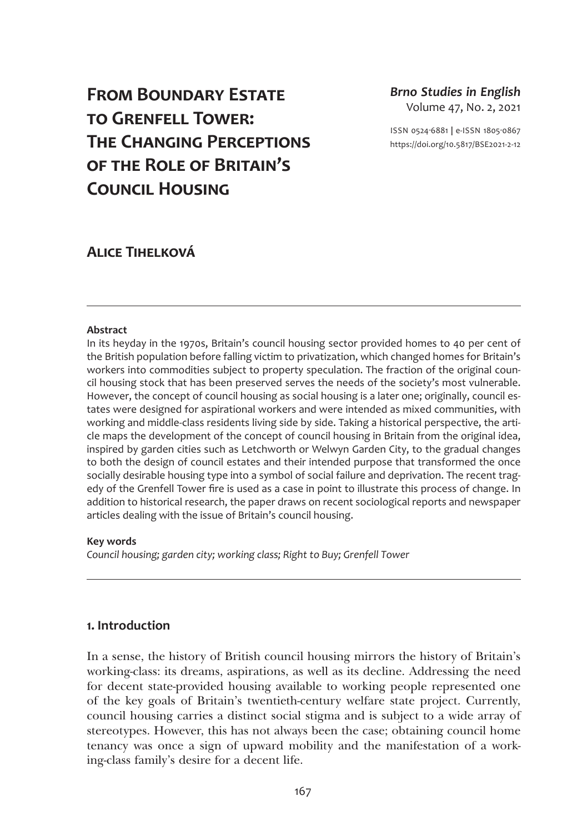# **FROM BOUNDARY ESTATE to Grenfell Tower: The Changing Perceptions of the Role of Britain's Council Housing**

## *Brno Studies in English* Volume 47, No. 2, 2021

ISSN 0524-6881 **|** e-ISSN 1805-0867 <https://doi.org/10.5817/BSE2021-2-12>

## **Alice Tihelková**

#### **Abstract**

In its heyday in the 1970s, Britain's council housing sector provided homes to 40 per cent of the British population before falling victim to privatization, which changed homes for Britain's workers into commodities subject to property speculation. The fraction of the original council housing stock that has been preserved serves the needs of the society's most vulnerable. However, the concept of council housing as social housing is a later one; originally, council estates were designed for aspirational workers and were intended as mixed communities, with working and middle-class residents living side by side. Taking a historical perspective, the article maps the development of the concept of council housing in Britain from the original idea, inspired by garden cities such as Letchworth or Welwyn Garden City, to the gradual changes to both the design of council estates and their intended purpose that transformed the once socially desirable housing type into a symbol of social failure and deprivation. The recent tragedy of the Grenfell Tower fire is used as a case in point to illustrate this process of change. In addition to historical research, the paper draws on recent sociological reports and newspaper articles dealing with the issue of Britain's council housing.

#### **Key words**

*Council housing; garden city; working class; Right to Buy; Grenfell Tower*

## **1. Introduction**

In a sense, the history of British council housing mirrors the history of Britain's working-class: its dreams, aspirations, as well as its decline. Addressing the need for decent state-provided housing available to working people represented one of the key goals of Britain's twentieth-century welfare state project. Currently, council housing carries a distinct social stigma and is subject to a wide array of stereotypes. However, this has not always been the case; obtaining council home tenancy was once a sign of upward mobility and the manifestation of a working-class family's desire for a decent life.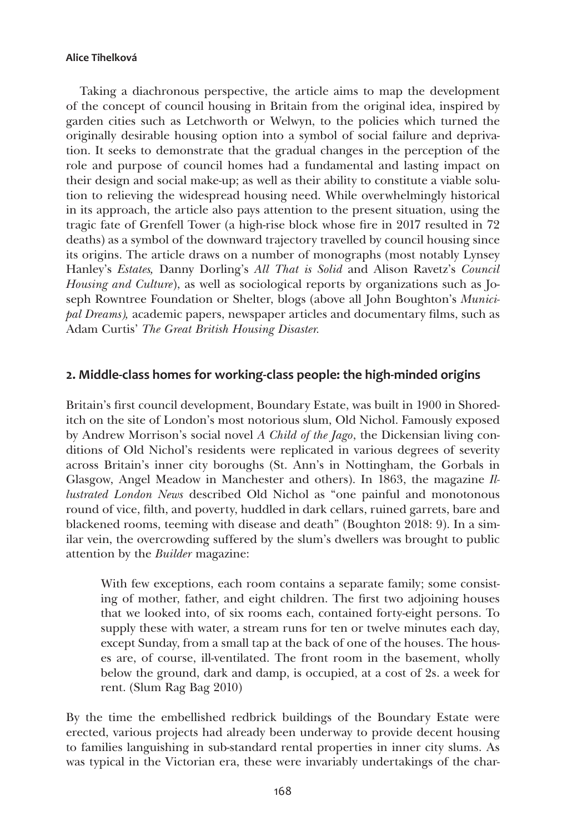Taking a diachronous perspective, the article aims to map the development of the concept of council housing in Britain from the original idea, inspired by garden cities such as Letchworth or Welwyn, to the policies which turned the originally desirable housing option into a symbol of social failure and deprivation. It seeks to demonstrate that the gradual changes in the perception of the role and purpose of council homes had a fundamental and lasting impact on their design and social make-up; as well as their ability to constitute a viable solution to relieving the widespread housing need. While overwhelmingly historical in its approach, the article also pays attention to the present situation, using the tragic fate of Grenfell Tower (a high-rise block whose fire in 2017 resulted in 72 deaths) as a symbol of the downward trajectory travelled by council housing since its origins. The article draws on a number of monographs (most notably Lynsey Hanley's *Estates,* Danny Dorling's *All That is Solid* and Alison Ravetz's *Council Housing and Culture*), as well as sociological reports by organizations such as Joseph Rowntree Foundation or Shelter, blogs (above all John Boughton's *Municipal Dreams),* academic papers, newspaper articles and documentary films, such as Adam Curtis' *The Great British Housing Disaster.*

## **2. Middle-class homes for working-class people: the high-minded origins**

Britain's first council development, Boundary Estate, was built in 1900 in Shoreditch on the site of London's most notorious slum, Old Nichol. Famously exposed by Andrew Morrison's social novel *A Child of the Jago*, the Dickensian living conditions of Old Nichol's residents were replicated in various degrees of severity across Britain's inner city boroughs (St. Ann's in Nottingham, the Gorbals in Glasgow, Angel Meadow in Manchester and others). In 1863, the magazine *Illustrated London News* described Old Nichol as "one painful and monotonous round of vice, filth, and poverty, huddled in dark cellars, ruined garrets, bare and blackened rooms, teeming with disease and death" (Boughton 2018: 9). In a similar vein, the overcrowding suffered by the slum's dwellers was brought to public attention by the *Builder* magazine:

With few exceptions, each room contains a separate family; some consisting of mother, father, and eight children. The first two adjoining houses that we looked into, of six rooms each, contained forty-eight persons. To supply these with water, a stream runs for ten or twelve minutes each day, except Sunday, from a small tap at the back of one of the houses. The houses are, of course, ill-ventilated. The front room in the basement, wholly below the ground, dark and damp, is occupied, at a cost of 2s. a week for rent. (Slum Rag Bag 2010)

By the time the embellished redbrick buildings of the Boundary Estate were erected, various projects had already been underway to provide decent housing to families languishing in sub-standard rental properties in inner city slums. As was typical in the Victorian era, these were invariably undertakings of the char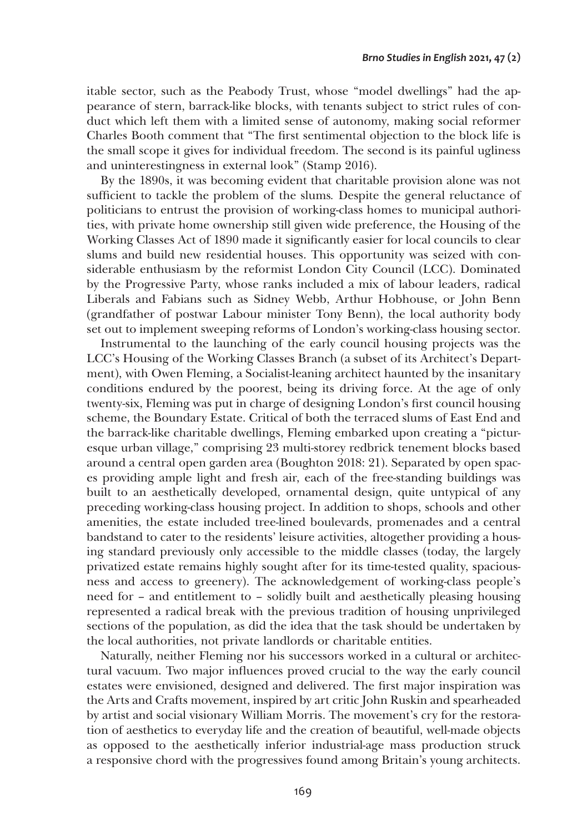itable sector, such as the Peabody Trust, whose "model dwellings" had the appearance of stern, barrack-like blocks, with tenants subject to strict rules of conduct which left them with a limited sense of autonomy, making social reformer Charles Booth comment that "The first sentimental objection to the block life is the small scope it gives for individual freedom. The second is its painful ugliness and uninterestingness in external look" (Stamp 2016).

By the 1890s, it was becoming evident that charitable provision alone was not sufficient to tackle the problem of the slums*.* Despite the general reluctance of politicians to entrust the provision of working-class homes to municipal authorities, with private home ownership still given wide preference, the Housing of the Working Classes Act of 1890 made it significantly easier for local councils to clear slums and build new residential houses. This opportunity was seized with considerable enthusiasm by the reformist London City Council (LCC). Dominated by the Progressive Party, whose ranks included a mix of labour leaders, radical Liberals and Fabians such as Sidney Webb, Arthur Hobhouse, or John Benn (grandfather of postwar Labour minister Tony Benn), the local authority body set out to implement sweeping reforms of London's working-class housing sector.

Instrumental to the launching of the early council housing projects was the LCC's Housing of the Working Classes Branch (a subset of its Architect's Department), with Owen Fleming, a Socialist-leaning architect haunted by the insanitary conditions endured by the poorest, being its driving force. At the age of only twenty-six, Fleming was put in charge of designing London's first council housing scheme, the Boundary Estate. Critical of both the terraced slums of East End and the barrack-like charitable dwellings, Fleming embarked upon creating a "picturesque urban village," comprising 23 multi-storey redbrick tenement blocks based around a central open garden area (Boughton 2018: 21). Separated by open spaces providing ample light and fresh air, each of the free-standing buildings was built to an aesthetically developed, ornamental design, quite untypical of any preceding working-class housing project. In addition to shops, schools and other amenities, the estate included tree-lined boulevards, promenades and a central bandstand to cater to the residents' leisure activities, altogether providing a housing standard previously only accessible to the middle classes (today, the largely privatized estate remains highly sought after for its time-tested quality, spaciousness and access to greenery). The acknowledgement of working-class people's need for – and entitlement to – solidly built and aesthetically pleasing housing represented a radical break with the previous tradition of housing unprivileged sections of the population, as did the idea that the task should be undertaken by the local authorities, not private landlords or charitable entities.

Naturally, neither Fleming nor his successors worked in a cultural or architectural vacuum. Two major influences proved crucial to the way the early council estates were envisioned, designed and delivered. The first major inspiration was the Arts and Crafts movement, inspired by art critic John Ruskin and spearheaded by artist and social visionary William Morris. The movement's cry for the restoration of aesthetics to everyday life and the creation of beautiful, well-made objects as opposed to the aesthetically inferior industrial-age mass production struck a responsive chord with the progressives found among Britain's young architects.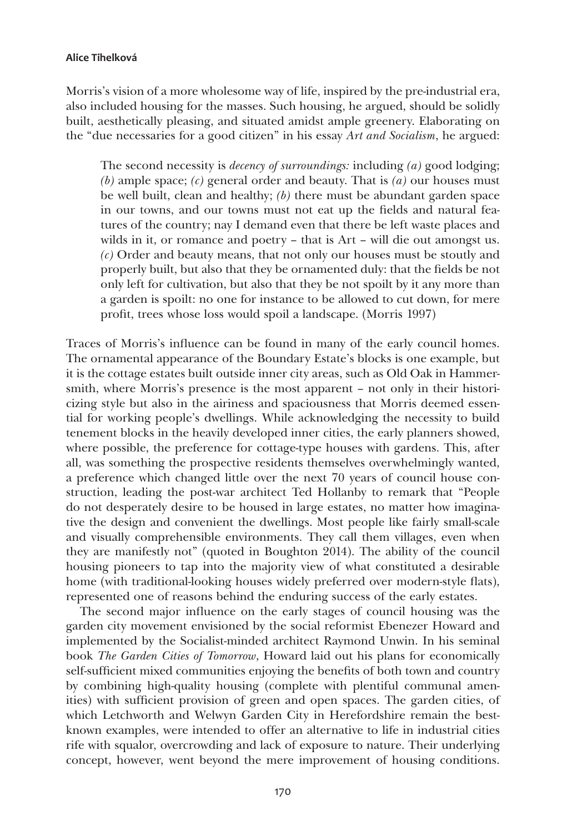Morris's vision of a more wholesome way of life, inspired by the pre-industrial era, also included housing for the masses. Such housing, he argued, should be solidly built, aesthetically pleasing, and situated amidst ample greenery. Elaborating on the "due necessaries for a good citizen" in his essay *Art and Socialism*, he argued:

The second necessity is *decency of surroundings:* including *(a)* good lodging; *(b)* ample space; *(c)* general order and beauty. That is *(a)* our houses must be well built, clean and healthy; *(b)* there must be abundant garden space in our towns, and our towns must not eat up the fields and natural features of the country; nay I demand even that there be left waste places and wilds in it, or romance and poetry – that is Art – will die out amongst us. *(c)* Order and beauty means, that not only our houses must be stoutly and properly built, but also that they be ornamented duly: that the fields be not only left for cultivation, but also that they be not spoilt by it any more than a garden is spoilt: no one for instance to be allowed to cut down, for mere profit, trees whose loss would spoil a landscape. (Morris 1997)

Traces of Morris's influence can be found in many of the early council homes. The ornamental appearance of the Boundary Estate's blocks is one example, but it is the cottage estates built outside inner city areas, such as Old Oak in Hammersmith, where Morris's presence is the most apparent – not only in their historicizing style but also in the airiness and spaciousness that Morris deemed essential for working people's dwellings. While acknowledging the necessity to build tenement blocks in the heavily developed inner cities, the early planners showed, where possible, the preference for cottage-type houses with gardens. This, after all, was something the prospective residents themselves overwhelmingly wanted, a preference which changed little over the next 70 years of council house construction, leading the post-war architect Ted Hollanby to remark that "People do not desperately desire to be housed in large estates, no matter how imaginative the design and convenient the dwellings. Most people like fairly small-scale and visually comprehensible environments. They call them villages, even when they are manifestly not" (quoted in Boughton 2014). The ability of the council housing pioneers to tap into the majority view of what constituted a desirable home (with traditional-looking houses widely preferred over modern-style flats), represented one of reasons behind the enduring success of the early estates.

The second major influence on the early stages of council housing was the garden city movement envisioned by the social reformist Ebenezer Howard and implemented by the Socialist-minded architect Raymond Unwin. In his seminal book *The Garden Cities of Tomorrow*, Howard laid out his plans for economically self-sufficient mixed communities enjoying the benefits of both town and country by combining high-quality housing (complete with plentiful communal amenities) with sufficient provision of green and open spaces. The garden cities, of which Letchworth and Welwyn Garden City in Herefordshire remain the bestknown examples, were intended to offer an alternative to life in industrial cities rife with squalor, overcrowding and lack of exposure to nature. Their underlying concept, however, went beyond the mere improvement of housing conditions.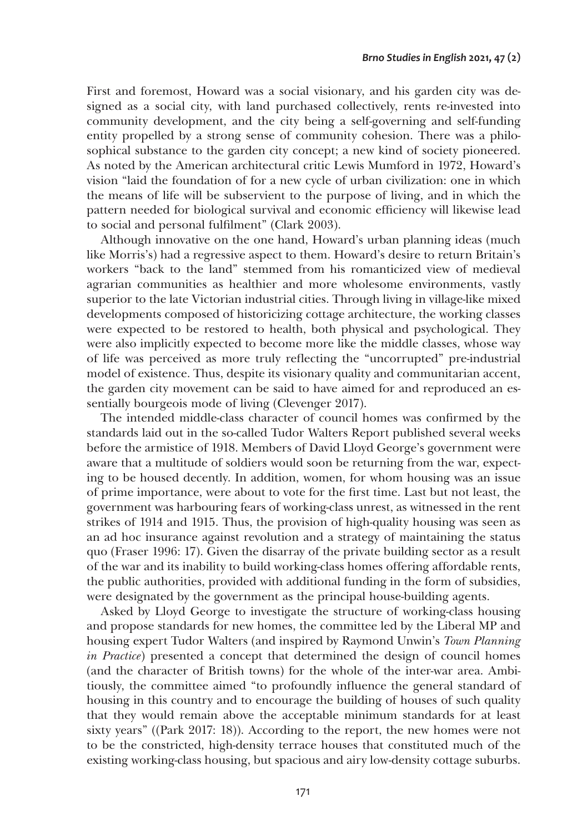First and foremost, Howard was a social visionary, and his garden city was designed as a social city, with land purchased collectively, rents re-invested into community development, and the city being a self-governing and self-funding entity propelled by a strong sense of community cohesion. There was a philosophical substance to the garden city concept; a new kind of society pioneered. As noted by the American architectural critic Lewis Mumford in 1972, Howard's vision "laid the foundation of for a new cycle of urban civilization: one in which the means of life will be subservient to the purpose of living, and in which the pattern needed for biological survival and economic efficiency will likewise lead to social and personal fulfilment" (Clark 2003).

Although innovative on the one hand, Howard's urban planning ideas (much like Morris's) had a regressive aspect to them. Howard's desire to return Britain's workers "back to the land" stemmed from his romanticized view of medieval agrarian communities as healthier and more wholesome environments, vastly superior to the late Victorian industrial cities. Through living in village-like mixed developments composed of historicizing cottage architecture, the working classes were expected to be restored to health, both physical and psychological. They were also implicitly expected to become more like the middle classes, whose way of life was perceived as more truly reflecting the "uncorrupted" pre-industrial model of existence. Thus, despite its visionary quality and communitarian accent, the garden city movement can be said to have aimed for and reproduced an essentially bourgeois mode of living (Clevenger 2017).

The intended middle-class character of council homes was confirmed by the standards laid out in the so-called Tudor Walters Report published several weeks before the armistice of 1918. Members of David Lloyd George's government were aware that a multitude of soldiers would soon be returning from the war, expecting to be housed decently. In addition, women, for whom housing was an issue of prime importance, were about to vote for the first time. Last but not least, the government was harbouring fears of working-class unrest, as witnessed in the rent strikes of 1914 and 1915. Thus, the provision of high-quality housing was seen as an ad hoc insurance against revolution and a strategy of maintaining the status quo (Fraser 1996: 17). Given the disarray of the private building sector as a result of the war and its inability to build working-class homes offering affordable rents, the public authorities, provided with additional funding in the form of subsidies, were designated by the government as the principal house-building agents.

Asked by Lloyd George to investigate the structure of working-class housing and propose standards for new homes, the committee led by the Liberal MP and housing expert Tudor Walters (and inspired by Raymond Unwin's *Town Planning in Practice*) presented a concept that determined the design of council homes (and the character of British towns) for the whole of the inter-war area. Ambitiously, the committee aimed "to profoundly influence the general standard of housing in this country and to encourage the building of houses of such quality that they would remain above the acceptable minimum standards for at least sixty years" ((Park 2017: 18)). According to the report, the new homes were not to be the constricted, high-density terrace houses that constituted much of the existing working-class housing, but spacious and airy low-density cottage suburbs.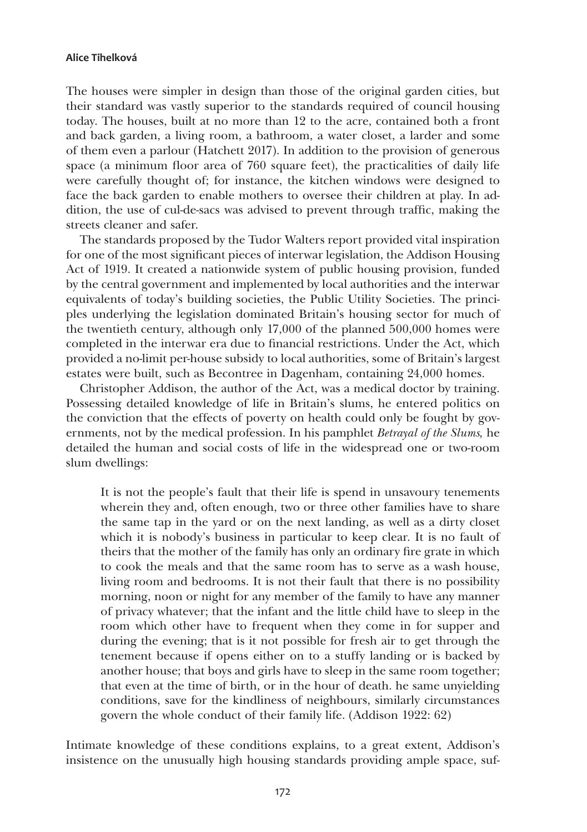The houses were simpler in design than those of the original garden cities, but their standard was vastly superior to the standards required of council housing today. The houses, built at no more than 12 to the acre, contained both a front and back garden, a living room, a bathroom, a water closet, a larder and some of them even a parlour (Hatchett 2017). In addition to the provision of generous space (a minimum floor area of 760 square feet), the practicalities of daily life were carefully thought of; for instance, the kitchen windows were designed to face the back garden to enable mothers to oversee their children at play. In addition, the use of cul-de-sacs was advised to prevent through traffic, making the streets cleaner and safer.

The standards proposed by the Tudor Walters report provided vital inspiration for one of the most significant pieces of interwar legislation, the Addison Housing Act of 1919. It created a nationwide system of public housing provision, funded by the central government and implemented by local authorities and the interwar equivalents of today's building societies, the Public Utility Societies. The principles underlying the legislation dominated Britain's housing sector for much of the twentieth century, although only 17,000 of the planned 500,000 homes were completed in the interwar era due to financial restrictions. Under the Act, which provided a no-limit per-house subsidy to local authorities, some of Britain's largest estates were built, such as Becontree in Dagenham, containing 24,000 homes.

Christopher Addison, the author of the Act, was a medical doctor by training. Possessing detailed knowledge of life in Britain's slums, he entered politics on the conviction that the effects of poverty on health could only be fought by governments, not by the medical profession. In his pamphlet *Betrayal of the Slums,* he detailed the human and social costs of life in the widespread one or two-room slum dwellings:

It is not the people's fault that their life is spend in unsavoury tenements wherein they and, often enough, two or three other families have to share the same tap in the yard or on the next landing, as well as a dirty closet which it is nobody's business in particular to keep clear. It is no fault of theirs that the mother of the family has only an ordinary fire grate in which to cook the meals and that the same room has to serve as a wash house, living room and bedrooms. It is not their fault that there is no possibility morning, noon or night for any member of the family to have any manner of privacy whatever; that the infant and the little child have to sleep in the room which other have to frequent when they come in for supper and during the evening; that is it not possible for fresh air to get through the tenement because if opens either on to a stuffy landing or is backed by another house; that boys and girls have to sleep in the same room together; that even at the time of birth, or in the hour of death. he same unyielding conditions, save for the kindliness of neighbours, similarly circumstances govern the whole conduct of their family life. (Addison 1922: 62)

Intimate knowledge of these conditions explains, to a great extent, Addison's insistence on the unusually high housing standards providing ample space, suf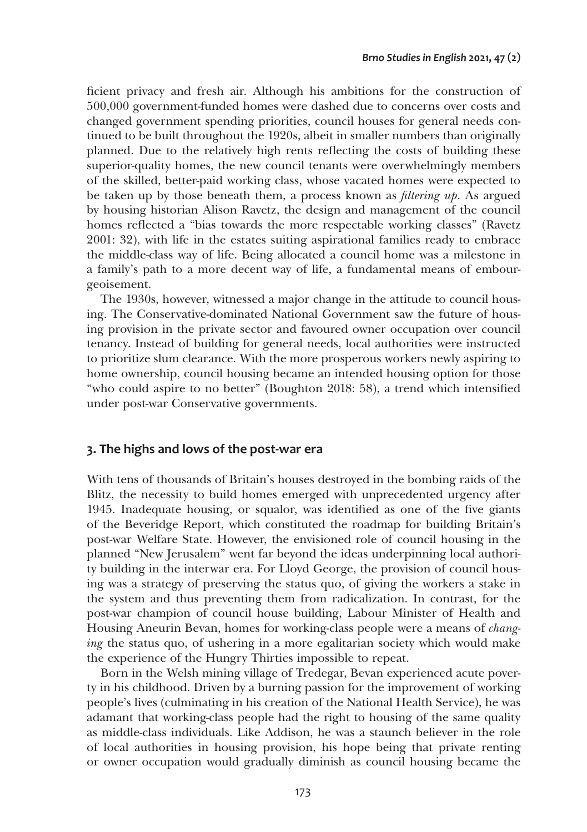ficient privacy and fresh air. Although his ambitions for the construction of 500,000 government-funded homes were dashed due to concerns over costs and changed government spending priorities, council houses for general needs continued to be built throughout the 1920s, albeit in smaller numbers than originally planned. Due to the relatively high rents reflecting the costs of building these superior-quality homes, the new council tenants were overwhelmingly members of the skilled, better-paid working class, whose vacated homes were expected to be taken up by those beneath them, a process known as *filtering up*. As argued by housing historian Alison Ravetz, the design and management of the council homes reflected a "bias towards the more respectable working classes" (Ravetz 2001: 32), with life in the estates suiting aspirational families ready to embrace the middle-class way of life. Being allocated a council home was a milestone in a family's path to a more decent way of life, a fundamental means of embourgeoisement.

The 1930s, however, witnessed a major change in the attitude to council housing. The Conservative-dominated National Government saw the future of housing provision in the private sector and favoured owner occupation over council tenancy. Instead of building for general needs, local authorities were instructed to prioritize slum clearance. With the more prosperous workers newly aspiring to home ownership, council housing became an intended housing option for those "who could aspire to no better" (Boughton 2018: 58), a trend which intensified under post-war Conservative governments.

## **3. The highs and lows of the post-war era**

With tens of thousands of Britain's houses destroyed in the bombing raids of the Blitz, the necessity to build homes emerged with unprecedented urgency after 1945. Inadequate housing, or squalor, was identified as one of the five giants of the Beveridge Report, which constituted the roadmap for building Britain's post-war Welfare State. However, the envisioned role of council housing in the planned "New Jerusalem" went far beyond the ideas underpinning local authority building in the interwar era. For Lloyd George, the provision of council housing was a strategy of preserving the status quo, of giving the workers a stake in the system and thus preventing them from radicalization. In contrast, for the post-war champion of council house building, Labour Minister of Health and Housing Aneurin Bevan, homes for working-class people were a means of *changing* the status quo, of ushering in a more egalitarian society which would make the experience of the Hungry Thirties impossible to repeat.

Born in the Welsh mining village of Tredegar, Bevan experienced acute poverty in his childhood. Driven by a burning passion for the improvement of working people's lives (culminating in his creation of the National Health Service), he was adamant that working-class people had the right to housing of the same quality as middle-class individuals. Like Addison, he was a staunch believer in the role of local authorities in housing provision, his hope being that private renting or owner occupation would gradually diminish as council housing became the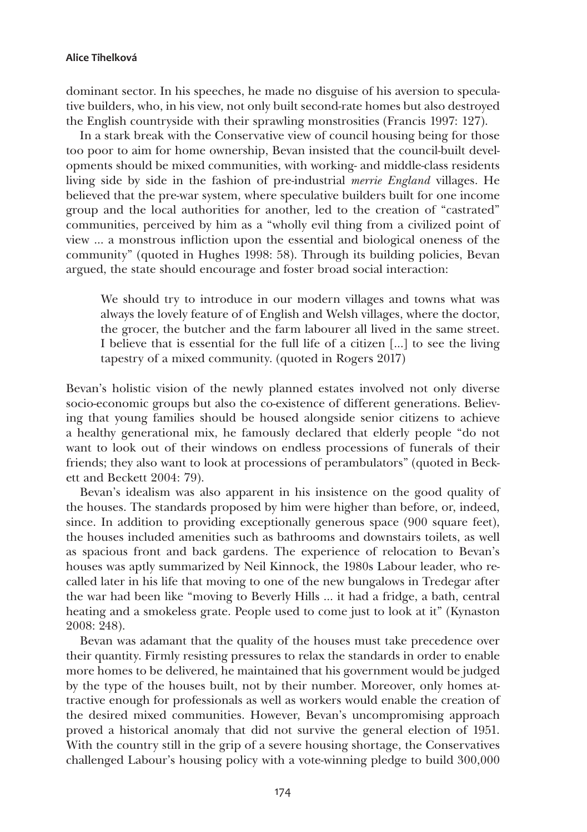dominant sector. In his speeches, he made no disguise of his aversion to speculative builders, who, in his view, not only built second-rate homes but also destroyed the English countryside with their sprawling monstrosities (Francis 1997: 127).

In a stark break with the Conservative view of council housing being for those too poor to aim for home ownership, Bevan insisted that the council-built developments should be mixed communities, with working- and middle-class residents living side by side in the fashion of pre-industrial *merrie England* villages. He believed that the pre-war system, where speculative builders built for one income group and the local authorities for another, led to the creation of "castrated" communities, perceived by him as a "wholly evil thing from a civilized point of view … a monstrous infliction upon the essential and biological oneness of the community" (quoted in Hughes 1998: 58). Through its building policies, Bevan argued, the state should encourage and foster broad social interaction:

We should try to introduce in our modern villages and towns what was always the lovely feature of of English and Welsh villages, where the doctor, the grocer, the butcher and the farm labourer all lived in the same street. I believe that is essential for the full life of a citizen […] to see the living tapestry of a mixed community. (quoted in Rogers 2017)

Bevan's holistic vision of the newly planned estates involved not only diverse socio-economic groups but also the co-existence of different generations. Believing that young families should be housed alongside senior citizens to achieve a healthy generational mix, he famously declared that elderly people "do not want to look out of their windows on endless processions of funerals of their friends; they also want to look at processions of perambulators" (quoted in Beckett and Beckett 2004: 79).

Bevan's idealism was also apparent in his insistence on the good quality of the houses. The standards proposed by him were higher than before, or, indeed, since. In addition to providing exceptionally generous space (900 square feet), the houses included amenities such as bathrooms and downstairs toilets, as well as spacious front and back gardens. The experience of relocation to Bevan's houses was aptly summarized by Neil Kinnock, the 1980s Labour leader, who recalled later in his life that moving to one of the new bungalows in Tredegar after the war had been like "moving to Beverly Hills … it had a fridge, a bath, central heating and a smokeless grate. People used to come just to look at it" (Kynaston 2008: 248).

Bevan was adamant that the quality of the houses must take precedence over their quantity. Firmly resisting pressures to relax the standards in order to enable more homes to be delivered, he maintained that his government would be judged by the type of the houses built, not by their number. Moreover, only homes attractive enough for professionals as well as workers would enable the creation of the desired mixed communities. However, Bevan's uncompromising approach proved a historical anomaly that did not survive the general election of 1951. With the country still in the grip of a severe housing shortage, the Conservatives challenged Labour's housing policy with a vote-winning pledge to build 300,000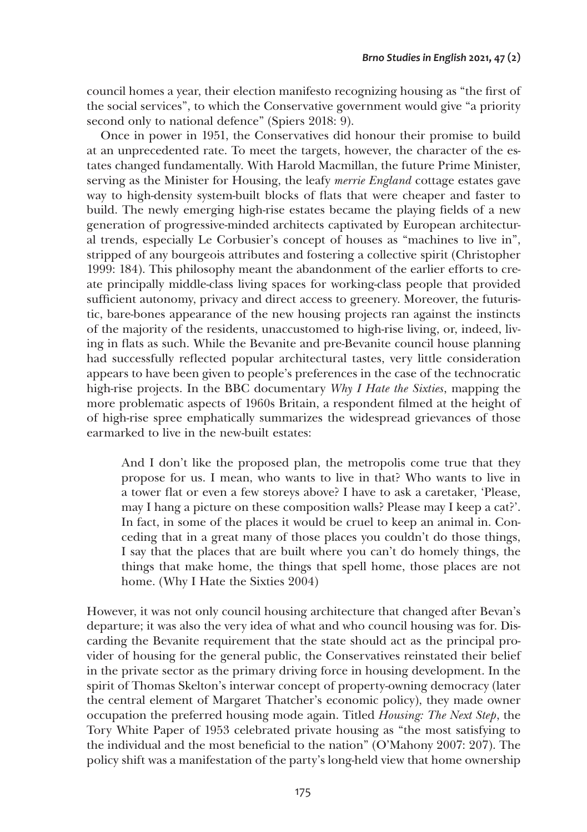council homes a year, their election manifesto recognizing housing as "the first of the social services", to which the Conservative government would give "a priority second only to national defence" (Spiers 2018: 9).

Once in power in 1951, the Conservatives did honour their promise to build at an unprecedented rate. To meet the targets, however, the character of the estates changed fundamentally. With Harold Macmillan, the future Prime Minister, serving as the Minister for Housing, the leafy *merrie England* cottage estates gave way to high-density system-built blocks of flats that were cheaper and faster to build. The newly emerging high-rise estates became the playing fields of a new generation of progressive-minded architects captivated by European architectural trends, especially Le Corbusier's concept of houses as "machines to live in", stripped of any bourgeois attributes and fostering a collective spirit (Christopher 1999: 184). This philosophy meant the abandonment of the earlier efforts to create principally middle-class living spaces for working-class people that provided sufficient autonomy, privacy and direct access to greenery. Moreover, the futuristic, bare-bones appearance of the new housing projects ran against the instincts of the majority of the residents, unaccustomed to high-rise living, or, indeed, living in flats as such. While the Bevanite and pre-Bevanite council house planning had successfully reflected popular architectural tastes, very little consideration appears to have been given to people's preferences in the case of the technocratic high-rise projects. In the BBC documentary *Why I Hate the Sixties*, mapping the more problematic aspects of 1960s Britain, a respondent filmed at the height of of high-rise spree emphatically summarizes the widespread grievances of those earmarked to live in the new-built estates:

And I don't like the proposed plan, the metropolis come true that they propose for us. I mean, who wants to live in that? Who wants to live in a tower flat or even a few storeys above? I have to ask a caretaker, 'Please, may I hang a picture on these composition walls? Please may I keep a cat?'. In fact, in some of the places it would be cruel to keep an animal in. Conceding that in a great many of those places you couldn't do those things, I say that the places that are built where you can't do homely things, the things that make home, the things that spell home, those places are not home. (Why I Hate the Sixties 2004)

However, it was not only council housing architecture that changed after Bevan's departure; it was also the very idea of what and who council housing was for. Discarding the Bevanite requirement that the state should act as the principal provider of housing for the general public, the Conservatives reinstated their belief in the private sector as the primary driving force in housing development. In the spirit of Thomas Skelton's interwar concept of property-owning democracy (later the central element of Margaret Thatcher's economic policy), they made owner occupation the preferred housing mode again. Titled *Housing: The Next Step*, the Tory White Paper of 1953 celebrated private housing as "the most satisfying to the individual and the most beneficial to the nation" (O'Mahony 2007: 207). The policy shift was a manifestation of the party's long-held view that home ownership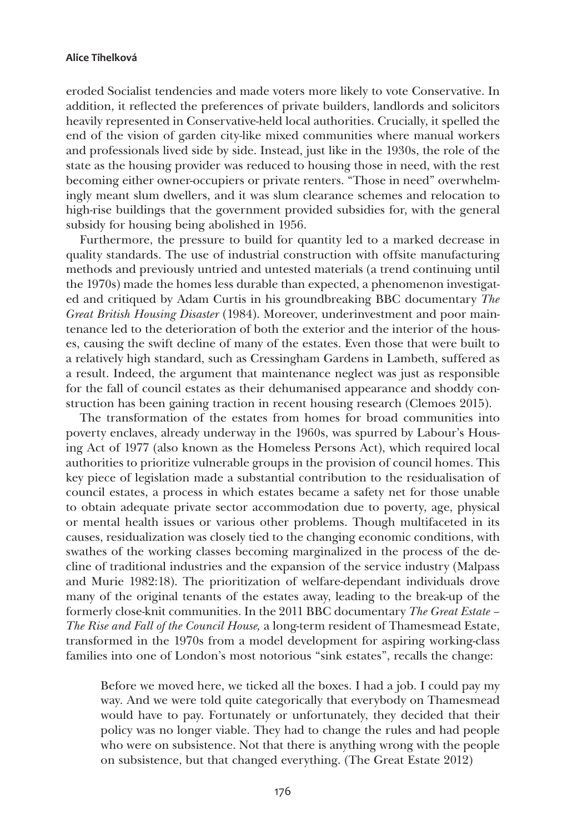eroded Socialist tendencies and made voters more likely to vote Conservative. In addition, it reflected the preferences of private builders, landlords and solicitors heavily represented in Conservative-held local authorities. Crucially, it spelled the end of the vision of garden city-like mixed communities where manual workers and professionals lived side by side. Instead, just like in the 1930s, the role of the state as the housing provider was reduced to housing those in need, with the rest becoming either owner-occupiers or private renters. "Those in need" overwhelmingly meant slum dwellers, and it was slum clearance schemes and relocation to high-rise buildings that the government provided subsidies for, with the general subsidy for housing being abolished in 1956.

Furthermore, the pressure to build for quantity led to a marked decrease in quality standards. The use of industrial construction with offsite manufacturing methods and previously untried and untested materials (a trend continuing until the 1970s) made the homes less durable than expected, a phenomenon investigated and critiqued by Adam Curtis in his groundbreaking BBC documentary *The Great British Housing Disaster* (1984). Moreover, underinvestment and poor maintenance led to the deterioration of both the exterior and the interior of the houses, causing the swift decline of many of the estates. Even those that were built to a relatively high standard, such as Cressingham Gardens in Lambeth, suffered as a result. Indeed, the argument that maintenance neglect was just as responsible for the fall of council estates as their dehumanised appearance and shoddy construction has been gaining traction in recent housing research (Clemoes 2015).

The transformation of the estates from homes for broad communities into poverty enclaves, already underway in the 1960s, was spurred by Labour's Housing Act of 1977 (also known as the Homeless Persons Act), which required local authorities to prioritize vulnerable groups in the provision of council homes. This key piece of legislation made a substantial contribution to the residualisation of council estates, a process in which estates became a safety net for those unable to obtain adequate private sector accommodation due to poverty, age, physical or mental health issues or various other problems. Though multifaceted in its causes, residualization was closely tied to the changing economic conditions, with swathes of the working classes becoming marginalized in the process of the decline of traditional industries and the expansion of the service industry (Malpass and Murie 1982:18). The prioritization of welfare-dependant individuals drove many of the original tenants of the estates away, leading to the break-up of the formerly close-knit communities. In the 2011 BBC documentary *The Great Estate – The Rise and Fall of the Council House,* a long-term resident of Thamesmead Estate, transformed in the 1970s from a model development for aspiring working-class families into one of London's most notorious "sink estates", recalls the change:

Before we moved here, we ticked all the boxes. I had a job. I could pay my way. And we were told quite categorically that everybody on Thamesmead would have to pay. Fortunately or unfortunately, they decided that their policy was no longer viable. They had to change the rules and had people who were on subsistence. Not that there is anything wrong with the people on subsistence, but that changed everything. (The Great Estate 2012)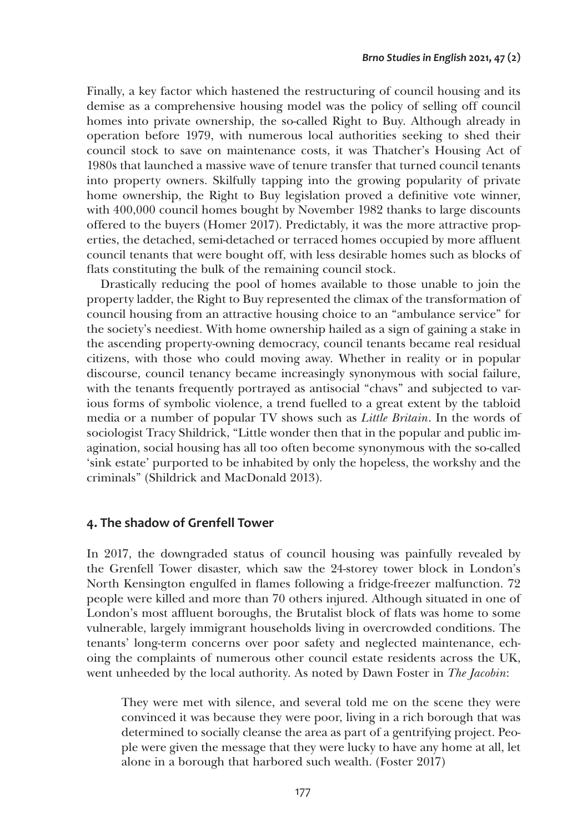Finally, a key factor which hastened the restructuring of council housing and its demise as a comprehensive housing model was the policy of selling off council homes into private ownership, the so-called Right to Buy. Although already in operation before 1979, with numerous local authorities seeking to shed their council stock to save on maintenance costs, it was Thatcher's Housing Act of 1980s that launched a massive wave of tenure transfer that turned council tenants into property owners. Skilfully tapping into the growing popularity of private home ownership, the Right to Buy legislation proved a definitive vote winner, with 400,000 council homes bought by November 1982 thanks to large discounts offered to the buyers (Homer 2017). Predictably, it was the more attractive properties, the detached, semi-detached or terraced homes occupied by more affluent council tenants that were bought off, with less desirable homes such as blocks of flats constituting the bulk of the remaining council stock.

Drastically reducing the pool of homes available to those unable to join the property ladder, the Right to Buy represented the climax of the transformation of council housing from an attractive housing choice to an "ambulance service" for the society's neediest. With home ownership hailed as a sign of gaining a stake in the ascending property-owning democracy, council tenants became real residual citizens, with those who could moving away. Whether in reality or in popular discourse, council tenancy became increasingly synonymous with social failure, with the tenants frequently portrayed as antisocial "chavs" and subjected to various forms of symbolic violence, a trend fuelled to a great extent by the tabloid media or a number of popular TV shows such as *Little Britain*. In the words of sociologist Tracy Shildrick, "Little wonder then that in the popular and public imagination, social housing has all too often become synonymous with the so-called 'sink estate' purported to be inhabited by only the hopeless, the workshy and the criminals" (Shildrick and MacDonald 2013).

## **4. The shadow of Grenfell Tower**

In 2017, the downgraded status of council housing was painfully revealed by the Grenfell Tower disaster, which saw the 24-storey tower block in London's North Kensington engulfed in flames following a fridge-freezer malfunction. 72 people were killed and more than 70 others injured. Although situated in one of London's most affluent boroughs, the Brutalist block of flats was home to some vulnerable, largely immigrant households living in overcrowded conditions. The tenants' long-term concerns over poor safety and neglected maintenance, echoing the complaints of numerous other council estate residents across the UK, went unheeded by the local authority. As noted by Dawn Foster in *The Jacobin*:

They were met with silence, and several told me on the scene they were convinced it was because they were poor, living in a rich borough that was determined to socially cleanse the area as part of a gentrifying project. People were given the message that they were lucky to have any home at all, let alone in a borough that harbored such wealth. (Foster 2017)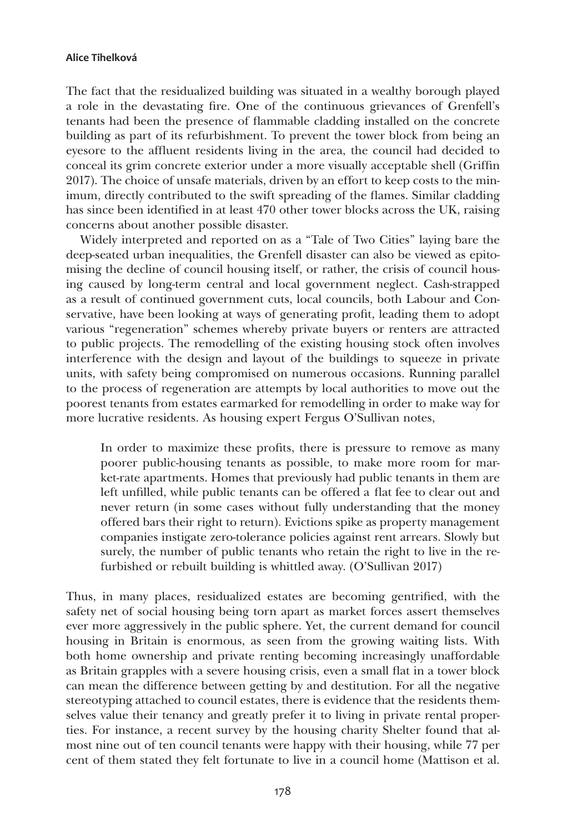The fact that the residualized building was situated in a wealthy borough played a role in the devastating fire. One of the continuous grievances of Grenfell's tenants had been the presence of flammable cladding installed on the concrete building as part of its refurbishment. To prevent the tower block from being an eyesore to the affluent residents living in the area, the council had decided to conceal its grim concrete exterior under a more visually acceptable shell (Griffin 2017). The choice of unsafe materials, driven by an effort to keep costs to the minimum, directly contributed to the swift spreading of the flames. Similar cladding has since been identified in at least 470 other tower blocks across the UK, raising concerns about another possible disaster.

Widely interpreted and reported on as a "Tale of Two Cities" laying bare the deep-seated urban inequalities, the Grenfell disaster can also be viewed as epitomising the decline of council housing itself, or rather, the crisis of council housing caused by long-term central and local government neglect. Cash-strapped as a result of continued government cuts, local councils, both Labour and Conservative, have been looking at ways of generating profit, leading them to adopt various "regeneration" schemes whereby private buyers or renters are attracted to public projects. The remodelling of the existing housing stock often involves interference with the design and layout of the buildings to squeeze in private units, with safety being compromised on numerous occasions. Running parallel to the process of regeneration are attempts by local authorities to move out the poorest tenants from estates earmarked for remodelling in order to make way for more lucrative residents. As housing expert Fergus O'Sullivan notes,

In order to maximize these profits, there is pressure to remove as many poorer public-housing tenants as possible, to make more room for market-rate apartments. Homes that previously had public tenants in them are left unfilled, while public tenants can be offered a flat fee to clear out and never return (in some cases without fully understanding that the money offered bars their right to return). Evictions spike as property management companies instigate zero-tolerance policies against rent arrears. Slowly but surely, the number of public tenants who retain the right to live in the refurbished or rebuilt building is whittled away. (O'Sullivan 2017)

Thus, in many places, residualized estates are becoming gentrified, with the safety net of social housing being torn apart as market forces assert themselves ever more aggressively in the public sphere. Yet, the current demand for council housing in Britain is enormous, as seen from the growing waiting lists. With both home ownership and private renting becoming increasingly unaffordable as Britain grapples with a severe housing crisis, even a small flat in a tower block can mean the difference between getting by and destitution. For all the negative stereotyping attached to council estates, there is evidence that the residents themselves value their tenancy and greatly prefer it to living in private rental properties. For instance, a recent survey by the housing charity Shelter found that almost nine out of ten council tenants were happy with their housing, while 77 per cent of them stated they felt fortunate to live in a council home (Mattison et al.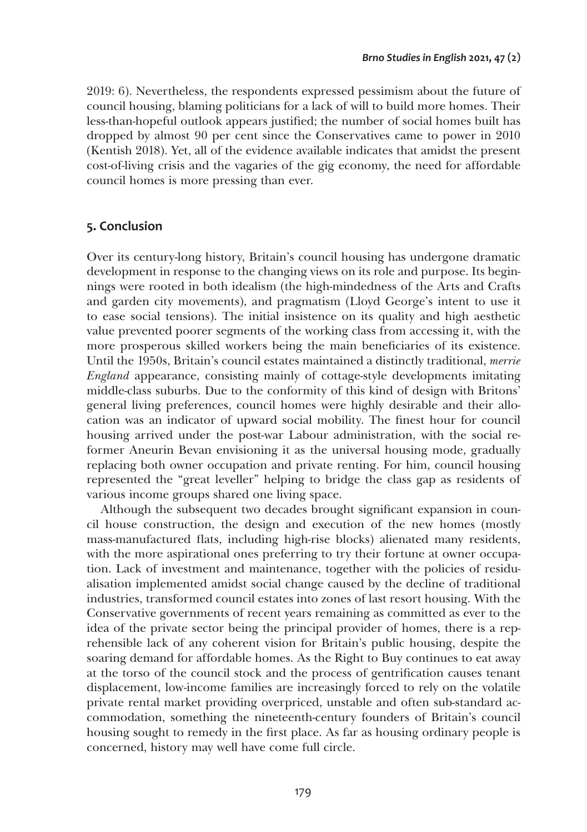2019: 6). Nevertheless, the respondents expressed pessimism about the future of council housing, blaming politicians for a lack of will to build more homes. Their less-than-hopeful outlook appears justified; the number of social homes built has dropped by almost 90 per cent since the Conservatives came to power in 2010 (Kentish 2018). Yet, all of the evidence available indicates that amidst the present cost-of-living crisis and the vagaries of the gig economy, the need for affordable council homes is more pressing than ever.

## **5. Conclusion**

Over its century-long history, Britain's council housing has undergone dramatic development in response to the changing views on its role and purpose. Its beginnings were rooted in both idealism (the high-mindedness of the Arts and Crafts and garden city movements), and pragmatism (Lloyd George's intent to use it to ease social tensions). The initial insistence on its quality and high aesthetic value prevented poorer segments of the working class from accessing it, with the more prosperous skilled workers being the main beneficiaries of its existence. Until the 1950s, Britain's council estates maintained a distinctly traditional, *merrie England* appearance, consisting mainly of cottage-style developments imitating middle-class suburbs. Due to the conformity of this kind of design with Britons' general living preferences, council homes were highly desirable and their allocation was an indicator of upward social mobility. The finest hour for council housing arrived under the post-war Labour administration, with the social reformer Aneurin Bevan envisioning it as the universal housing mode, gradually replacing both owner occupation and private renting. For him, council housing represented the "great leveller" helping to bridge the class gap as residents of various income groups shared one living space.

Although the subsequent two decades brought significant expansion in council house construction, the design and execution of the new homes (mostly mass-manufactured flats, including high-rise blocks) alienated many residents, with the more aspirational ones preferring to try their fortune at owner occupation. Lack of investment and maintenance, together with the policies of residualisation implemented amidst social change caused by the decline of traditional industries, transformed council estates into zones of last resort housing. With the Conservative governments of recent years remaining as committed as ever to the idea of the private sector being the principal provider of homes, there is a reprehensible lack of any coherent vision for Britain's public housing, despite the soaring demand for affordable homes. As the Right to Buy continues to eat away at the torso of the council stock and the process of gentrification causes tenant displacement, low-income families are increasingly forced to rely on the volatile private rental market providing overpriced, unstable and often sub-standard accommodation, something the nineteenth-century founders of Britain's council housing sought to remedy in the first place. As far as housing ordinary people is concerned, history may well have come full circle.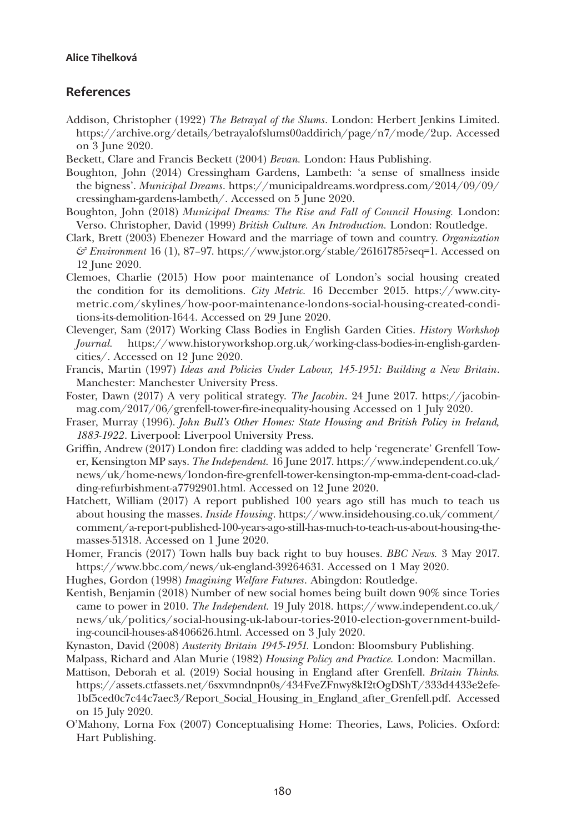## **References**

- Addison, Christopher (1922) *The Betrayal of the Slums*. London: Herbert Jenkins Limited. https://archive.org/details/betrayalofslums00addirich/page/n7/mode/2up. Accessed on 3 June 2020.
- Beckett, Clare and Francis Beckett (2004) *Bevan.* London: Haus Publishing.
- Boughton, John (2014) Cressingham Gardens, Lambeth: 'a sense of smallness inside the bigness'. *Municipal Dreams*. https://municipaldreams.wordpress.com/2014/09/09/ cressingham-gardens-lambeth/. Accessed on 5 June 2020.
- Boughton, John (2018) *Municipal Dreams: The Rise and Fall of Council Housing.* London: Verso. Christopher, David (1999) *British Culture. An Introduction.* London: Routledge.
- Clark, Brett (2003) Ebenezer Howard and the marriage of town and country. *Organization & Environment* 16 (1), 87–97. https://www.jstor.org/stable/26161785?seq=1. Accessed on 12 June 2020.
- Clemoes, Charlie (2015) How poor maintenance of London's social housing created the condition for its demolitions. *City Metric.* 16 December 2015. https://www.citymetric.com/skylines/how-poor-maintenance-londons-social-housing-created-conditions-its-demolition-1644. Accessed on 29 June 2020.
- Clevenger, Sam (2017) Working Class Bodies in English Garden Cities. *History Workshop Journal.* https://www.historyworkshop.org.uk/working-class-bodies-in-english-gardencities/. Accessed on 12 June 2020.
- Francis, Martin (1997) *Ideas and Policies Under Labour, 145-1951: Building a New Britain*. Manchester: Manchester University Press.
- Foster, Dawn (2017) A very political strategy. *The Jacobin*. 24 June 2017. https://jacobinmag.com/2017/06/grenfell-tower-fire-inequality-housing Accessed on 1 July 2020.
- Fraser, Murray (1996). *John Bull's Other Homes: State Housing and British Policy in Ireland, 1883-1922*. Liverpool: Liverpool University Press.
- Griffin, Andrew (2017) London fire: cladding was added to help 'regenerate' Grenfell Tower, Kensington MP says. *The Independent.* 16 June 2017. https://www.independent.co.uk/ news/uk/home-news/london-fire-grenfell-tower-kensington-mp-emma-dent-coad-cladding-refurbishment-a7792901.html. Accessed on 12 June 2020.
- Hatchett, William (2017) A report published 100 years ago still has much to teach us about housing the masses. *Inside Housing*. https://www.insidehousing.co.uk/comment/ comment/a-report-published-100-years-ago-still-has-much-to-teach-us-about-housing-themasses-51318. Accessed on 1 June 2020.
- Homer, Francis (2017) Town halls buy back right to buy houses. *BBC News.* 3 May 2017. https://www.bbc.com/news/uk-england-39264631. Accessed on 1 May 2020.
- Hughes, Gordon (1998) *Imagining Welfare Futures*. Abingdon: Routledge.
- Kentish, Benjamin (2018) Number of new social homes being built down 90% since Tories came to power in 2010. *The Independent.* 19 July 2018. https://www.independent.co.uk/ news/uk/politics/social-housing-uk-labour-tories-2010-election-government-building-council-houses-a8406626.html. Accessed on 3 July 2020.
- Kynaston, David (2008) *Austerity Britain 1945-1951.* London: Bloomsbury Publishing.
- Malpass, Richard and Alan Murie (1982) *Housing Policy and Practice.* London: Macmillan.
- Mattison, Deborah et al. (2019) Social housing in England after Grenfell. *Britain Thinks.*  https://assets.ctfassets.net/6sxvmndnpn0s/434FveZFnwy8kI2tOgDShT/333d4433e2efe-1bf5ced0c7c44c7aec3/Report\_Social\_Housing\_in\_England\_after\_Grenfell.pdf. Accessed on 15 July 2020.
- O'Mahony, Lorna Fox (2007) Conceptualising Home: Theories, Laws, Policies. Oxford: Hart Publishing.